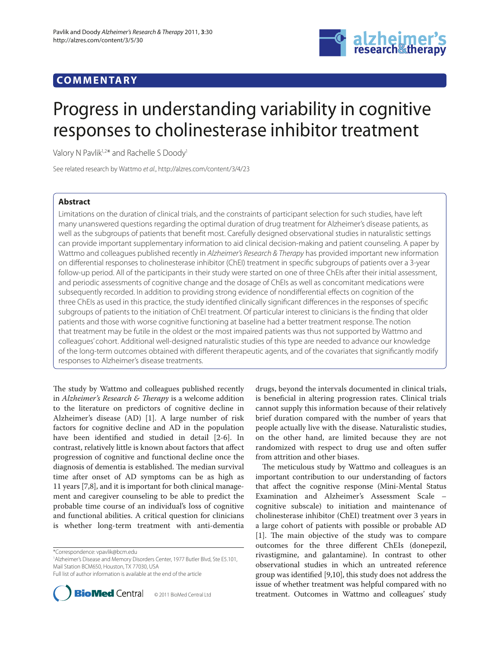## **COMMENTARY**



# Progress in understanding variability in cognitive responses to cholinesterase inhibitor treatment

Valory N Pavlik<sup>1,2\*</sup> and Rachelle S Doody<sup>1</sup>

See related research by Wattmo et al., http://alzres.com/content/3/4/23

### **Abstract**

Limitations on the duration of clinical trials, and the constraints of participant selection for such studies, have left many unanswered questions regarding the optimal duration of drug treatment for Alzheimer's disease patients, as well as the subgroups of patients that benefit most. Carefully designed observational studies in naturalistic settings can provide important supplementary information to aid clinical decision-making and patient counseling. A paper by Wattmo and colleagues published recently in Alzheimer's Research & Therapy has provided important new information on differential responses to cholinesterase inhibitor (ChEI) treatment in specific subgroups of patients over a 3-year follow-up period. All of the participants in their study were started on one of three ChEIs after their initial assessment, and periodic assessments of cognitive change and the dosage of ChEIs as well as concomitant medications were subsequently recorded. In addition to providing strong evidence of nondifferential effects on cognition of the three ChEIs as used in this practice, the study identified clinically significant differences in the responses of specific subgroups of patients to the initiation of ChEI treatment. Of particular interest to clinicians is the finding that older patients and those with worse cognitive functioning at baseline had a better treatment response. The notion that treatment may be futile in the oldest or the most impaired patients was thus not supported by Wattmo and colleagues' cohort. Additional well-designed naturalistic studies of this type are needed to advance our knowledge of the long-term outcomes obtained with different therapeutic agents, and of the covariates that significantly modify responses to Alzheimer's disease treatments.

The study by Wattmo and colleagues published recently in *Alzheimer's Research & Therapy* is a welcome addition to the literature on predictors of cognitive decline in Alzheimer's disease (AD) [1]. A large number of risk factors for cognitive decline and AD in the population have been identified and studied in detail [2-6]. In contrast, relatively little is known about factors that affect progression of cognitive and functional decline once the diagnosis of dementia is established. The median survival time after onset of AD symptoms can be as high as 11 years [7,8], and it is important for both clinical management and caregiver counseling to be able to predict the probable time course of an individual's loss of cognitive and functional abilities. A critical question for clinicians is whether long-term treatment with anti-dementia

\*Correspondence: vpavlik@bcm.edu

1 Alzheimer's Disease and Memory Disorders Center, 1977 Butler Blvd, Ste E5.101, Mail Station BCM650, Houston, TX 77030, USA

Full list of author information is available at the end of the article



drugs, beyond the intervals documented in clinical trials, is beneficial in altering progression rates. Clinical trials cannot supply this information because of their relatively brief duration compared with the number of years that people actually live with the disease. Naturalistic studies, on the other hand, are limited because they are not randomized with respect to drug use and often suffer from attrition and other biases.

The meticulous study by Wattmo and colleagues is an important contribution to our understanding of factors that affect the cognitive response (Mini-Mental Status Examination and Alzheimer's Assessment Scale – cognitive subscale) to initiation and maintenance of cholinesterase inhibitor (ChEI) treatment over 3 years in a large cohort of patients with possible or probable AD [1]. The main objective of the study was to compare outcomes for the three different ChEIs (donepezil, rivastigmine, and galantamine). In contrast to other observational studies in which an untreated reference group was identified [9,10], this study does not address the issue of whether treatment was helpful compared with no treatment. Outcomes in Wattmo and colleagues' study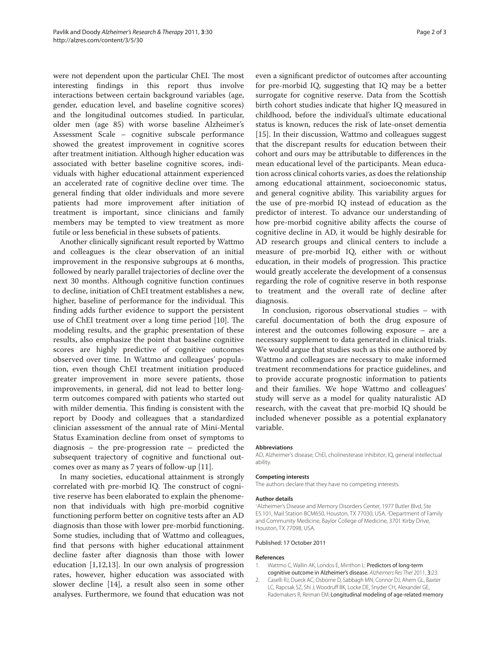were not dependent upon the particular ChEI. The most interesting findings in this report thus involve interactions between certain background variables (age, gender, education level, and baseline cognitive scores) and the longitudinal outcomes studied. In particular, older men (age 85) with worse baseline Alzheimer's Assessment Scale – cognitive subscale performance showed the greatest improvement in cognitive scores after treatment initiation. Although higher education was associated with better baseline cognitive scores, individuals with higher educational attainment experienced an accelerated rate of cognitive decline over time. The general finding that older individuals and more severe patients had more improvement after initiation of treatment is important, since clinicians and family members may be tempted to view treatment as more futile or less beneficial in these subsets of patients.

Another clinically significant result reported by Wattmo and colleagues is the clear observation of an initial improvement in the responsive subgroups at 6 months, followed by nearly parallel trajectories of decline over the next 30 months. Although cognitive function continues to decline, initiation of ChEI treatment establishes a new, higher, baseline of performance for the individual. This finding adds further evidence to support the persistent use of ChEI treatment over a long time period  $[10]$ . The modeling results, and the graphic presentation of these results, also emphasize the point that baseline cognitive scores are highly predictive of cognitive outcomes observed over time. In Wattmo and colleagues' population, even though ChEI treatment initiation produced greater improvement in more severe patients, those improve ments, in general, did not lead to better longterm outcomes compared with patients who started out with milder dementia. This finding is consistent with the report by Doody and colleagues that a standardized clinician assessment of the annual rate of Mini-Mental Status Examination decline from onset of symptoms to diagnosis – the pre-progression rate – predicted the subsequent trajectory of cognitive and functional outcomes over as many as 7 years of follow-up [11].

In many societies, educational attainment is strongly correlated with pre-morbid IQ. The construct of cognitive reserve has been elaborated to explain the phenomenon that individuals with high pre-morbid cognitive functioning perform better on cognitive tests after an AD diagnosis than those with lower pre-morbid functioning. Some studies, including that of Wattmo and colleagues, find that persons with higher educational attainment decline faster after diagnosis than those with lower education [1,12,13]. In our own analysis of progression rates, however, higher education was associated with slower decline [14], a result also seen in some other analyses. Furthermore, we found that education was not

even a significant predictor of outcomes after accounting for pre-morbid IQ, suggesting that IQ may be a better surrogate for cognitive reserve. Data from the Scottish birth cohort studies indicate that higher IQ measured in childhood, before the individual's ultimate educational status is known, reduces the risk of late-onset dementia [15]. In their discussion, Wattmo and colleagues suggest that the discrepant results for education between their cohort and ours may be attributable to differences in the mean educational level of the participants. Mean education across clinical cohorts varies, as does the relationship among educational attainment, socioeconomic status, and general cognitive ability. This variability argues for the use of pre-morbid IQ instead of education as the predictor of interest. To advance our understanding of how pre-morbid cognitive ability affects the course of cognitive decline in AD, it would be highly desirable for AD research groups and clinical centers to include a measure of pre-morbid IQ, either with or without education, in their models of progression. This practice would greatly accelerate the development of a consensus regarding the role of cognitive reserve in both response to treatment and the overall rate of decline after diagnosis.

In conclusion, rigorous observational studies – with careful documentation of both the drug exposure of interest and the outcomes following exposure – are a necessary supplement to data generated in clinical trials. We would argue that studies such as this one authored by Wattmo and colleagues are necessary to make informed treatment recommendations for practice guidelines, and to provide accurate prognostic information to patients and their families. We hope Wattmo and colleagues' study will serve as a model for quality naturalistic AD research, with the caveat that pre-morbid IQ should be included whenever possible as a potential explanatory variable.

#### **Abbreviations**

AD, Alzheimer's disease; ChEI, cholinesterase inhibitor; IQ, general intellectual ability.

#### **Competing interests**

The authors declare that they have no competing interests.

#### **Author details**

<sup>1</sup>Alzheimer's Disease and Memory Disorders Center, 1977 Butler Blvd, Ste E5.101, Mail Station BCM650, Houston, TX 77030, USA. <sup>2</sup>Department of Family and Community Medicine, Baylor College of Medicine, 3701 Kirby Drive, Houston, TX 77098, USA.

#### Published: 17 October 2011

#### **References**

- 1. Wattmo C, Wallin AK, Londos E, Minthon L: Predictors of long-term cognitive outcome in Alzheimer's disease. Alzheimers Res Ther 2011, 3:23.
- 2. Caselli RJ, Dueck AC, Osborne D, Sabbagh MN, Connor DJ, Ahern GL, Baxter LC, Rapcsak SZ, Shi J, Woodruff BK, Locke DE, Snyder CH, Alexander GE, Rademakers R, Reiman EM: Longitudinal modeling of age-related memory